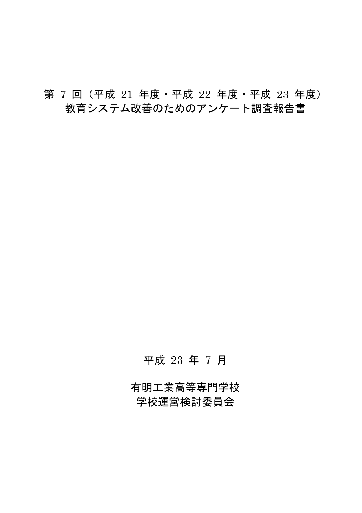# 第 7回 (平成 21 年度 · 平成 22 年度 · 平成 23 年度) 教育システム改善のためのアンケート調査報告書

# 平成 23 年 7 月

有明工業高等専門学校 学校運営検討委員会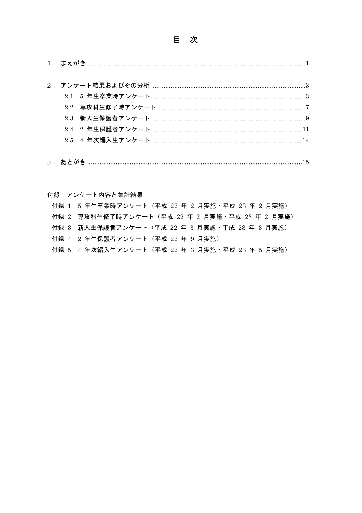# 目次

# 付録 アンケート内容と集計結果

| 付録 1 5 年生卒業時アンケート (平成 22 年 2 月実施・平成 23 年 2 月実施) |
|-------------------------------------------------|
| 付録 2 専攻科生修了時アンケート(平成 22 年 2 月実施・平成 23 年 2 月実施)  |
| 付録 3 新入生保護者アンケート (平成 22 年 3 月実施・平成 23 年 3 月実施)  |
| 付録 4 2 年生保護者アンケート (平成 22 年 9 月実施)               |
| 付録 5 4 年次編入生アンケート(平成 22 年 3 月実施・平成 23 年 5 月実施)  |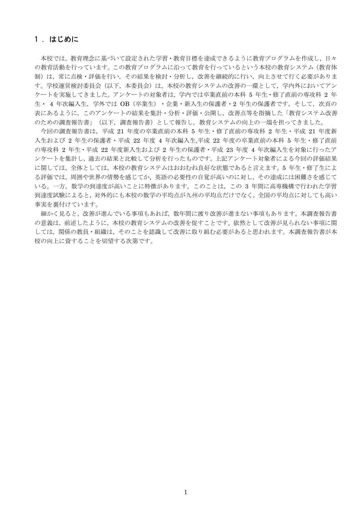# 1. はじめに

本校では、教育理念に基づいて設定された学習・教育目標を達成できるように教育プログラムを作成し、日々 の教育活動を行っています。この教育プログラムに沿って教育を行っているという本校の教育システム(教育体 制)は、常に点検・評価を行い、その結果を検討・分析し、改善を継続的に行い、向上させて行く必要がありま す。学校運営検討委員会(以下、本委員会)は、本校の教育システムの改善の一環として、学内外においてアン ケートを実施してきました。アンケートの対象者は、学内では卒業直前の本科5年生・修了直前の専攻科2年 生・ 4 年次編入生, 学外では OB (卒業生) ・企業・新入生の保護者・2 年生の保護者です。そして, 次頁の 表にあるように、このアンケートの結果を集計・分析・評価・公開し、改善点等を指摘した「教育システム改善 のための調査報告書」(以下、調査報告書)として報告し、教育システムの向上の一端を担ってきました。

今回の調査報告書は、平成 21 年度の卒業直前の本科 5 年生・修了直前の専攻科 2 年生・平成 21 年度新 入生および 2 年生の保護者・平成 22 年度 4 年次編入生,平成 22 年度の卒業直前の本科 5 年生・修了直前 の専攻科 2年生·平成 22年度新入生および 2年生の保護者·平成 23年度 4年次編入生を対象に行ったア ンケートを集計し、過去の結果と比較して分析を行ったものです。上記アンケート対象者による今回の評価結果 に関しては、全体としては、本校の教育システムはおおむね良好な状態であると言えます。5年生・修了生によ る評価では、周囲や世界の情勢を感じてか、英語の必要性の自覚が高いのに対し、その達成には困難さを感じて いる。一方, 数学の到達度が高いことに特徴があります。このことは、この 3 年間に高専機構で行われた学習 到達度試験によると、対外的にも本校の数学の平均点が九州の平均点だけでなく、全国の平均点に対しても高い 事実を裏付けています。

細かく見ると、改善が進んでいる事項もあれば、数年間に渡り改善が進まない事項もあります。本調査報告書 の意義は、前述したように、本校の教育システムの改善を促すことです。依然として改善が見られない事項に関 しては、関係の教員・組織は、そのことを認識して改善に取り組む必要があると思われます。本調査報告書が本 校の向上に資することを切望する次第です。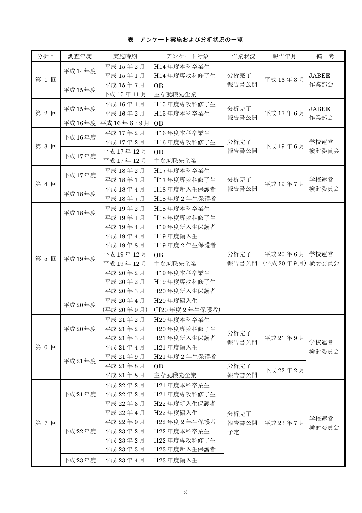表 アンケート実施および分析状況の一覧

| 分析回   | 調査年度   | 実施時期                 | アンケート対象                   | 作業状況          | 報告年月      | 備<br>考               |
|-------|--------|----------------------|---------------------------|---------------|-----------|----------------------|
|       | 平成14年度 | 平成 15年2月             | H14年度本科卒業生                |               |           |                      |
| 第1回   |        | 平成 15年1月             | H14年度専攻科修了生               | 分析完了          |           | <b>JABEE</b>         |
|       |        | 平成 15年7月             | <b>OB</b>                 | 報告書公開         | 平成 16年3月  | 作業部会                 |
|       | 平成15年度 | 平成 15年11月            | 主な就職先企業                   |               |           |                      |
|       |        | 平成 16年1月             | H15年度専攻科修了生               |               |           |                      |
| 第2回   | 平成15年度 | 平成 16年2月             | H15年度本科卒業生                | 分析完了<br>報告書公開 | 平成 17年6月  | <b>JABEE</b><br>作業部会 |
|       | 平成16年度 | 平成 16年6·9月           | <b>OB</b>                 |               |           |                      |
|       | 平成16年度 | 平成 17年2月             | H16年度本科卒業生                |               |           |                      |
| 第3回   |        | 平成 17年2月             | H16年度専攻科修了生               | 分析完了          | 平成 19年6月  | 学校運営                 |
|       | 平成17年度 | 平成 17年12月            | <b>OB</b>                 | 報告書公開         |           | 検討委員会                |
|       |        | 平成 17年12月            | 主な就職先企業                   |               |           |                      |
|       | 平成17年度 | 平成 18年2月             | H17年度本科卒業生                |               |           |                      |
| 第 4 回 |        | 平成 18年1月             | H17年度専攻科修了生               | 分析完了          | 平成 19年7月  | 学校運営                 |
|       | 平成18年度 | 平成 18年4月             | H18年度新入生保護者               | 報告書公開         |           | 検討委員会                |
|       |        | 平成 18年7月             | H18年度2年生保護者               |               |           |                      |
|       | 平成18年度 | 平成 19年2月             | H18年度本科卒業生                |               |           |                      |
|       |        | 平成 19年1月             | H18年度専攻科修了生               |               |           |                      |
|       |        | 平成 19年4月             | H19年度新入生保護者               |               |           |                      |
|       |        | 平成 19年4月             | H19年度編入生                  |               |           |                      |
|       |        | 平成 19年8月             | H19年度2年生保護者               |               |           |                      |
| 第 5 回 | 平成19年度 | 平成 19年12月            | <b>OB</b>                 | 分析完了          | 平成 20年6月  | 学校運営                 |
|       |        | 平成 19年12月            | 主な就職先企業                   | 報告書公開         | (平成20年9月) | 検討委員会                |
|       |        | 平成 20年2月             | H19年度本科卒業生                |               |           |                      |
|       |        | 平成 20年2月             | H19年度専攻科修了生               |               |           |                      |
|       |        | 平成 20年3月             | H20年度新入生保護者               |               |           |                      |
|       | 平成20年度 | 平成 20年4月             | H20年度編入生                  |               |           |                      |
|       |        | (平成 20年9月)           | (H20年度2年生保護者)             |               |           |                      |
|       |        | 平成 21年2月             | H20年度本科卒業生                |               |           |                      |
|       | 平成20年度 | 平成 21年2月             | H20年度専攻科修了生               | 分析完了          |           | 学校運営                 |
|       |        | 平成 21年3月             | H21年度新入生保護者               | 報告書公開         | 平成 21年9月  |                      |
| 第6回   |        | 平成 21年4月             | H21年度編入生                  |               |           | 検討委員会                |
|       | 平成21年度 | 平成 21年9月             | H21年度2年生保護者               |               |           |                      |
|       |        | 平成 21年8月             | <b>OB</b>                 | 分析完了          | 平成 22年2月  |                      |
|       |        | 平成 21年8月             | 主な就職先企業                   | 報告書公開         |           |                      |
|       |        | 平成 22年2月             | H21年度本科卒業生                |               |           |                      |
|       | 平成21年度 | 平成 22年2月             | H21年度専攻科修了生               |               |           |                      |
|       |        | 平成 22年3月             | H22年度新入生保護者               |               |           |                      |
|       |        | 平成 22年4月             | H22年度編入生                  | 分析完了          |           | 学校運営                 |
| 第7回   |        | 平成 22年9月             | H22年度2年生保護者               | 報告書公開         | 平成 23年7月  | 検討委員会                |
|       | 平成22年度 | 平成 23年2月             | H22年度本科卒業生<br>H22年度専攻科修了生 | 予定            |           |                      |
|       |        | 平成 23年2月<br>平成 23年3月 | H23年度新入生保護者               |               |           |                      |
|       |        |                      |                           |               |           |                      |
|       | 平成23年度 | 平成 23年4月             | H23年度編入生                  |               |           |                      |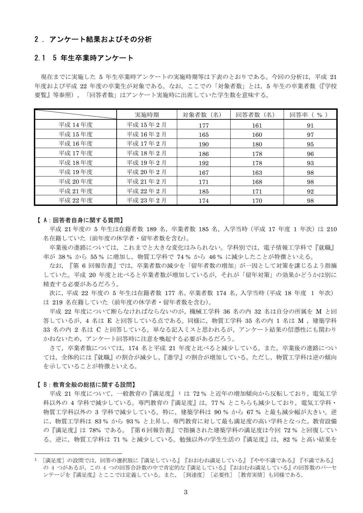# 2.アンケート結果およびその分析

# 2.1 5 年生卒業時アンケート

現在までに実施した 5 年生卒業時アンケートの実施時期等は下表のとおりである。今回の分析は、平成 21 年度および平成 22 年度の卒業生が対象である。なお、ここでの「対象者数」とは、5 年生の卒業者数(『学校 要覧』等参照)、「回答者数」はアンケート実施時に出席していた学生数を意味する。

|         | 実施時期      | 対象者数 (名) | 回答者数 (名) | 回答率<br>$\%$ ) |
|---------|-----------|----------|----------|---------------|
| 平成 14年度 | 平成 15年2月  | 177      | 161      | 91            |
| 平成 15年度 | 平成 16年2月  | 165      | 160      | 97            |
| 平成 16年度 | 平成 17年2月  | 190      | 180      | 95            |
| 平成 17年度 | 平成 18年2月  | 186      | 178      | 96            |
| 平成 18年度 | 平成 19年2月  | 192      | 178      | 93            |
| 平成 19年度 | 平成 20年2月  | 167      | 163      | 98            |
| 平成 20年度 | 平成 21年 2月 | 171      | 168      | 98            |
| 平成 21年度 | 平成 22年 2月 | 185      | 171      | 92            |
| 平成 22年度 | 平成 23年 2月 | 174      | 170      | 98            |

## 【A:回答者自身に関する質問】

平成 21年度の 5 年生は在籍者数 189 名, 卒業者数 185 名, 入学当時 (平成 17 年度 1 年次) は 210 名在籍していた(前年度の休学者・留年者数を含む)。

卒業後の進路については、これまでと大きな変化はみられない。学科別では、電子情報工学科で『就職』 率が 38% から 55% に増加し、物質工学科で 74% から 46% に減少したことが特徴といえる。

なお、『第6回報告書』では、卒業者数の減少を「留年者数の増加」が一因として対策を講じるよう指摘 していた。平成 20 年度と比べると卒業者数が増加しているが、それが「留年対策」の効果かどうかは別に 精査する必要があるだろう。

次に、平成 22 年度の 5 年生は在籍者数 177 名、卒業者数 174 名、入学当時 (平成 18 年度 1 年次) は 219 名在籍していた(前年度の休学者・留年者数を含む)。

平成 22 年度について断らなければならないのが, 機械工学科 36 名の内 32 名は自分の所属を M と回 答しているが, 4 名は E と回答している点である。同様に, 物質工学科 35 名の内 1 名は M , 建築学科 33 名の内 2 名は C と回答している。単なる記入ミスと思われるが、アンケート結果の信憑性にも関わり かねないため、アンケート回答時に注意を喚起する必要があるだろう。

さて、卒業者数については、174 名と平成 21 年度と比べると減少している。また、卒業後の進路につい ては、全体的には『就職』の割合が減少し、『進学』の割合が増加している。ただし、物質工学科は逆の傾向 を示していることが特徴といえる。

#### 【B:教育全般の総括に関する設問】

平成 21 年度について、一般教育の『満足度』1 は 72% と近年の増加傾向から反転しており、電気工学 科以外の 4 学科で減少している。専門教育の『満足度』は、77% とこちらも減少しており、電気工学科· 物質工学科以外の 3 学科で減少している。特に、建築学科は 90 % から 67 % と最も減少幅が大きい。逆 に、物質工学科は 83% から 93% と上昇し、専門教育に対して最も満足度の高い学科となった。教育設備 の『満足度』は 78% である。『第6回報告書』で指摘された建築学科の満足度は今回 72 % と回復してい る。逆に、物質工学科は 71 % と減少している。勉強以外の学生生活の『満足度』は、82 % と高い結果を

<sup>1 [</sup>満足度]の設問では、回答の選択肢に『満足している』『おおむね満足している』『やや不満である』『不満である』 の 4 つがあるが、この 4 つの回答合計数の中で肯定的な『満足している』『おおむね満足している』の回答数のパーセ ンテージを『満足度』とここでは定義している。また、 [到達度] [必要性] [教育実情]も同様である。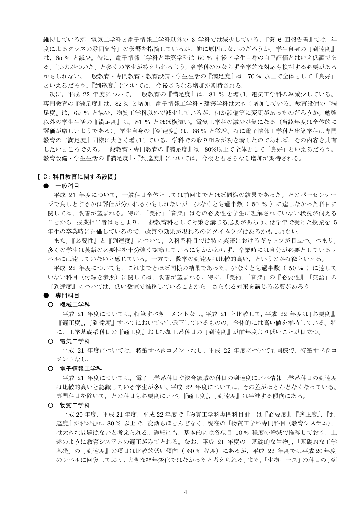維持しているが、電気工学科と電子情報工学科以外の 3 学科では減少している。『第6 回報告書』では「年 |度によるクラスの雰囲気等」の影響を指摘しているが,他に原因はないのだろうか。学生自身の『到達度』 は、65%と減少。特に、電子情報工学科と建築学科は50%前後と学生自身の自己評価とはいえ低調であ る。「実力がついた」と多くの学生が答えられるよう、各学科のみならず全学的な対応も検討する必要がある かもしれない。一般教育·専門教育·教育設備·学生生活の『満足度』は、70%以上で全体として「良好」 といえるだろう。『到達度』については、今後さらなる増加が期待される。

次に、平成 22 年度について、一般教育の『満足度』は、81 % と増加、電気工学科のみ減少している。 専門教育の『満足度』は、82%と増加、電子情報工学科・建築学科は大きく増加している。教育設備の『満 足度』は、69%と減少、物質工学科以外で減少しているが、何か設備等に変更があったのだろうか。勉強 以外の学生生活の『満足度』は、81%とほぼ横這い。電気工学科の減少が気になる(当該年度は全体的に 評価が厳しいようである)。学生自身の『到達度』は、68%と微増。特に電子情報工学科と建築学科は専門 教育の『満足度』同様に大きく増加している。学科での取り組みが功を奏したのであれば、その内容を共有 したいところである。一般教育·専門教育の『満足度』は、80%以上で全体として「良好」といえるだろう。 教育設備・学生生活の『満足度』・『到達度』については、今後ともさらなる増加が期待される。

## 【C:科目教育に関する設問】

#### ● 一般科目

平成 21 年度について、一般科目全体としては前回までとほぼ同様の結果であった。どのパーセンテー ジで良しとするかは評価が分かれるかもしれないが、少なくとも過半数(50%)に達しなかった科目に |関しては,改善が望まれる。特に,「美術」「音楽」はその必要性を学生に理解されていない状況が伺える ことから、授業担当者はもとより、一般教育科として対策を講じる必要があろう。低学年で受けた授業を5 年生の卒業時に評価しているので、改善の効果が現れるのにタイムラグはあるかもしれない。

また、『必要性』と『到達度』について、文科系科目では特に英語におけるギャップが目立つ。つまり、 多くの学生は英語の必要性を十分強く認識しているにもかかわらず、卒業時には自分が必要としているレ ベルには達していないと感じている。一方で、数学の到達度は比較的高い、というのが特徴といえる。

平成 22 年度についても,これまでとほぼ同様の結果であった。少なくとも過半数( 50 % )に達して いない科目(付録を参照)に関しては、改善が望まれる。特に、「美術」「音楽」の『必要性』、「英語」の 『到達度』については,低い数値で推移していることから,さらなる対策を講じる必要があろう。

## ● 専門科目

#### ○ 機械工学科

平成 21 年度については、特筆すべきコメントなし。平成 21 と比較して、平成 22 年度は『必要度』、 『適正度』,『到達度』すべてにおいて少し低下しているものの、全体的には高い値を維持している。特 に、工学基礎系科目の『適正度』および加工系科目の『到達度』が前年度より低いことが目立つ。

○ 電気工学科

平成 21 年度については、特筆すべきコメントなし。平成 22 年度についても同様で、特筆すべきコ メントなし。

#### 〇 電子情報工学科

平成 21 年度については、雷子工学系科目や総合領域の科目の到達度に比べ情報工学系科目の到達度 は比較的高いと認識している学生が多い。平成 22 年度については、その差がほとんどなくなっている。 専門科目を除いて、どの科目も必要度に比べ、『適正度』、『到達度』は半減する傾向にある。

○ 物質工学科

平成 20年度,平成 21年度,平成 22年度で「物質工学科専門科目計」は『必要度』,『適正度』,『到 達度』がおおむね 80% 以上で、変動もほとんどなく、現在の「物質工学科専門科目 (教育システム)」 は大きな問題はないと考えられる。詳細にも、基本的には各項目 10%程度の増減で推移しており、上 述のように教育システムの適正がみてとれる。なお、平成 21 年度の「基礎的な生物」、「基礎的な工学 基礎」の『到達度』の項目は比較的低い傾向 (60%程度)にあるが、平成 22年度では平成 20年度 のレベルに回復しており、大きな経年変化ではなかったと考えられる。また、「生物コース」の科目の『到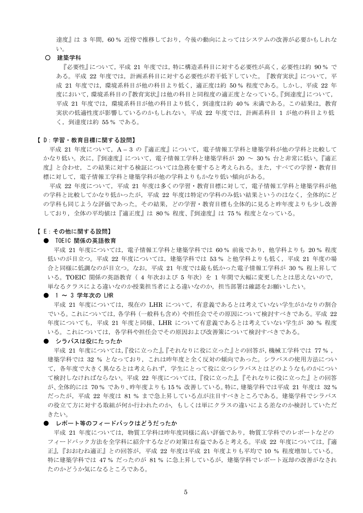達度』は 3年間, 60%近任傍で推移しており、今後の動向によってはシステムの改善が必要かもしれな  $V_{o}$ 

#### O 建築学科

『必要性』について,平成 21 年度では,特に構造系科目に対する必要性が高く,必要性は約 90% で ある。平成 22 年度では、計画系科目に対する必要性が若干低下していた。『教育実状』について、平 成 21 年度では、環境系科目が他の科目より低く、適正度は約 50% 程度である。しかし、平成 22 年 度において、環境系科目の『教育実状』は他の科目と同程度の適正度となっている。『到達度』について, 平成 21 年度では、環境系科目が他の科目より低く、到達度は約 40% 未満である。この結果は、教育 実状の低適性度が影響しているのかもしれない。平成 22 年度では、計画系科目 1 が他の科目より低 く, 到達度は約 55 % である。

# 【D: 学習·教育目標に関する設問】

平成 21 年度について、A-3の『適正度』について、電子情報工学科と建築学科が他の学科と比較して かなり低い。次に、『到達度』について、電子情報工学科と建築学科が 20 ~ 30% 台と非常に低い。『適正 度』と合わせ,この結果に対する検証については急務を要すると考えられる。また,すべての学習・教育目 標に対して、電子情報工学科と建築学科が他の学科よりもかなり低い傾向がある。

平成 22 年度について、平成 21 年度は多くの学習・教育目標に対して、電子情報工学科と建築学科が他 の学科と比較してかなり低かったが、平成 22 年度は特定の学科のみ低い結果というのはなく、全体的にど の学科も同じような評価であった。その結果、どの学習·教育目標も全体的に見ると昨年度よりも少し改善 しており、全体の平均値は『適正度』は 80%程度、『到達度』は 75%程度となっている。

#### 【E:その他に関する設問】

#### ● TOEIC 関係の英語教育

平成 21 年度については、電子情報工学科と建築学科では 60% 前後であり、他学科よりも 20% 程度 低いのが目立つ。平成 22 年度については、建築学科では 53% と他学科よりも低く、平成 21 年度の場 合と同様に低調なのが目立つ。なお,平成 21 年度では最も低かった電子情報工学科が 30 % 程上昇して いる。TOEIC 関係の英語教育(4年次および5年次)を1年間で大幅に変更したとは思えないので、 単なるクラスによる違いなのか授業担当者による違いなのか、担当部署は確認をお願いしたい。

#### ● 1~3 学年次の LHR

平成 21 年度については、現在の LHR について、有意義であるとは考えていない学生がかなりの割合 でいる。これについては、各学科 (一般科も含め) や担任会でその原因について検討すべきである。平成 22 年度についても、平成 21 年度と同様、LHR について有意義であるとは考えていない学生が 30 % 程度 いる。これについては、各学科や担任会でその原因および改善策について検討すべきである。

● シラバスは役にたったか

平成 21 年度については、『役に立った』、『それなりに役に立った』との回答が、機械工学科では 77%, 建築学科では 32 % となっており、これは昨年度と全く反対の傾向であった。シラバスの使用方法につい て、各年度で大きく異なるとは考えられず、学生にとって役に立つシラバスとはどのようなものかについ て検討しなければならない。平成 22 年度については、『役に立った』、『それなりに役に立った』との回答 が、全体的には 70% であり、昨年度よりも15% 改善している。特に、建築学科では平成 21 年度は 32% だったが、平成 22 年度は 81 % まで急上昇している点が注目すべきところである。建築学科でシラバス の役立て方に対する取組が何か行われたのか、もしくは単にクラスの違いによる差なのか検討していただ きたい。

# ● レポート等のフィードバックはどうだったか

平成 21 年度については、物質工学科は昨年度同様に高い評価であり、物質工学科でのレポートなどの フィードバック方法を全学科に紹介するなどの対策は有益であると考える。平成 22 年度については,『適 正』、『おおむね適正』との回答が、平成 22 年度は平成 21 年度よりも平均で 10 % 程度増加している。 特に建築学科では 47% だったのが 81% に急上昇しているが、建築学科でレポート返却の改善がなされ たのかどうか気になるところである。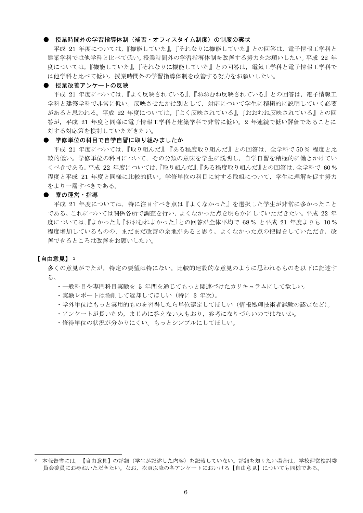## ● 授業時間外の学習指導体制(補習・オフィスタイム制度)の制度の実状

平成 21 年度については、『機能していた』、『それなりに機能していた』との回答は、電子情報工学科と 建築学科では他学科と比べて低い。授業時間外の学習指導体制を改善する努力をお願いしたい。平成 22 年 度については、『機能していた』、『それなりに機能していた』との回答は、電気工学科と電子情報工学科で は他学科と比べて低い。授業時間外の学習指導体制を改善する努力をお願いしたい。

# ● 授業改善アンケートの反映

平成 21 年度については、『よく反映されている』、『おおむね反映されている』との回答は、電子情報工 学科と建築学科で非常に低い。反映させたかは別として、対応について学生に積極的に説明していく必要 があると思われる。平成 22 年度については、『よく反映されている』、『おおむね反映されている』との回 答が、平成 21 年度と同様に電子情報工学科と建築学科で非常に低い。2 年連続で低い評価であることに 対する対応策を検討していただきたい。

# ● 学修単位の科目で自学自習に取り組みましたか

平成 21 年度については、『取り組んだ』、『ある程度取り組んだ』との回答は、全学科で50%程度と比 較的低い。学修単位の科目について、その分類の意味を学生に説明し、自学自習を積極的に働きかけてい くべきである。平成 22 年度については、『取り組んだ』、『ある程度取り組んだ』との回答は、全学科で 60% 程度と平成 21 年度と同様に比較的低い。学修単位の科目に対する取組について、学生に理解を促す努力 をより一層すべきである。

# ● 寮の運営・指導

平成 21 年度については、特に注目すべき点は『よくなかった』を選択した学生が非常に多かったこと である。これについては関係各所で調査を行い、よくなかった点を明らかにしていただきたい。平成 22 年 度については、『よかった』、『おおむねよかった』との回答が全体平均で 68% と平成 21 年度よりも 10% 程度増加しているものの、まだまだ改善の余地があると思う。よくなかった点の把握をしていただき、改 善できるところは改善をお願いしたい。

# 【自由意見】 2

多くの意見がでたが,特定の要望は特にない。比較的建設的な意見のように思われるものを以下に記述す  $\lesssim$  .

- ・一般科目や専門科目実験を 5 年間を通じてもっと関連づけたカリキュラムにして欲しい。
- ・実験レポートは添削して返却してほしい (特に 3年次)。
- •学外単位はもっと実用的ものを習得したら単位認定してほしい(情報処理技術者試験の認定など)。
- ・アンケートが長いため、まじめに答えない人もおり、参考になりづらいのではないか。
- 修得単位の状況が分かりにくい。もっとシンプルにしてほしい。

<sup>2</sup> 本報告書には、【自由意見】の詳細(学生が記述した内容)を記載していない。詳細を知りたい場合は、学校運営検討委 員会委員にお尋ねいただきたい。なお、次頁以降の各アンケートにおいける【自由意見】についても同様である。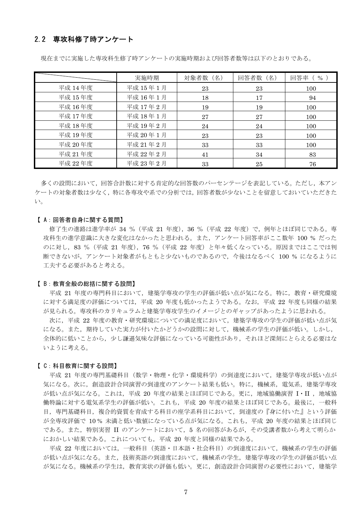# 2.2 専攻科修了時アンケート

|         | 実施時期      | 対象者数 (名) | 回答者数 (名) | $($ %)<br>回答率 |
|---------|-----------|----------|----------|---------------|
| 平成 14年度 | 平成 15年1月  | 23       | 23       | 100           |
| 平成 15年度 | 平成 16年1月  | 18       | 17       | 94            |
| 平成 16年度 | 平成 17年2月  | 19       | 19       | 100           |
| 平成 17年度 | 平成 18年1月  | 27       | 27       | 100           |
| 平成 18年度 | 平成 19年2月  | 24       | 24       | 100           |
| 平成 19年度 | 平成 20年1月  | 23       | 23       | 100           |
| 平成 20年度 | 平成 21年 2月 | 33       | 33       | 100           |
| 平成 21年度 | 平成 22年 2月 | 41       | 34       | 83            |
| 平成 22年度 | 平成 23年2月  | 33       | 25       | 76            |

現在までに実施した専攻科生修了時アンケートの実施時期および回答者数等は以下のとおりである。

多くの設問において、回答合計数に対する肯定的な回答数のパーセンテージを表記している。ただし、本アン ケートの対象者数は少なく、特に各専攻や系での分析では、回答者数が少ないことを留意しておいていただきた  $V_{0}$ 

## 【A:回答者自身に関する質問】

修了生の進路は進学率が 34 % (平成 21 年度), 36 % (平成 22 年度) で, 例年とほぼ同じである。専 攻科生の進学意識に大きな変化はなかったと思われる。また、アンケート回答率がここ数年 100 % だった のに対し、83 % (平成 21 年度), 76 % (平成 22 年度) と年々低くなっている。原因まではここでは判 断できないが、アンケート対象者がもともと少ないものであるので、今後はなるべく 100 % になるように 工夫する必要があると考える。

## 【B:教育全般の総括に関する設問】

平成 21 年度の専門科目において、建築学専攻の学生の評価が低い点が気になる。特に、教育・研究環境 に対する満足度の評価については,平成 20 年度も低かったようである。なお,平成 22 年度も同様の結果 が見られる。専攻科のカリキュラムと建築学専攻学生のイメージとのギャップがあったように思われる。

次に、平成 22 年度の教育・研究環境についての満足度において、建築学専攻の学生の評価が低い点が気 になる。また、期待していた実力が付いたかどうかの設問に対して、機械系の学生の評価が低い。しかし、 全体的に低いことから、少し謙遜気味な評価になっている可能性があり、それほど深刻にとらえる必要はな いように考える。

# 【C:科目教育に関する設問】

平成 21 年度の専門基礎科目 (数学・物理・化学・環境科学)の到達度において、建築学専攻が低い点が 気になる。次に、創造設計合同演習の到達度のアンケート結果も低い。特に、機械系、電気系、建築学専攻 が低い点が気になる。これは、平成 20 年度の結果とほぼ同じである。更に、地域協働演習 I·II, 地域協 働特論に対する電気系学生の評価が低い。これも、平成 20年度の結果とほぼ同じである。最後に、一般科 目、専門基礎科目、複合的資質を育成する科目の座学系科目において、到達度の『身に付いた』という評価 が全専攻評価で 10% 未満と低い数値になっている点が気になる。これも、平成 20年度の結果とほぼ同じ である。また、特別実習 II のアンケートにおいて、5 名の回答があるが、その受講者数から考えて明らか におかしい結果である。これについても、平成 20年度と同様の結果である。

平成 22 年度においては、一般科目 (英語・日本語・社会科目) の到達度において、機械系の学生の評価 が低い点が気になる。また、技術英語の到達度において、機械系の学生、建築学専攻の学生の評価が低い点 が気になる。機械系の学生は、教育実状の評価も低い。更に、創造設計合同演習の必要性において、建築学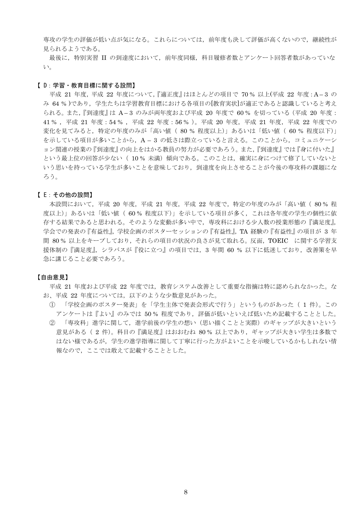専攻の学生の評価が低い点が気になる。これらについては、前年度も決して評価が高くないので、継続性が 見られるようである。

最後に、特別実習 II の到達度において、前年度同様、科目履修者数とアンケート回答者数があっていな  $V_{o}$ 

#### 【D:学習·教育目標に関する設問】

平成 21 年度, 平成 22 年度について, 『適正度』はほとんどの項目で 70% 以上(平成 22 年度: A-3 の み 64%)であり、学生たちは学習教育目標における各項目の[教育実状]が適正であると認識していると考え られる。また,『到達度』は A-3 のみが両年度および平成 20 年度で 60% を切っている (平成 20 年度: 41%, 平成 21 年度: 54%, 平成 22 年度: 56%)。平成 20 年度, 平成 21 年度, 平成 22 年度での 変化を見てみると、特定の年度のみが「高い値 (80%程度以上)」あるいは「低い値 (60%程度以下)」 を示している項目が多いことから、A-3の低さは際立っていると言える。このことから、コミュニケーシ ョン関連の授業の『到達度』の向上をはかる教員の努力が必要であろう。また、『到達度』では『身に付いた』 という最上位の回答が少ない (10% 未満)傾向である。このことは、確実に身につけて修了していないと いう思いを持っている学生が多いことを意味しており、到達度を向上させることが今後の専攻科の課題にな ろう。

#### 【E:その他の設問】

本設問において、平成 20 年度、平成 21 年度、平成 22 年度で、特定の年度のみが「高い値 (80%程 度以上)」あるいは「低い値( 60 % 程度以下)」を示している項目が多く,これは各年度の学生の個性に依 存する結果であると思われる。そのような変動が多い中で、専攻科における少人数の授業形態の『満足度』, 学会での発表の『有益性』、学校企画のポスターセッションの『有益性』、TA 経験の『有益性』の項目が 3 年 間 80% 以上をキープしており、それらの項目の状況の良さが見て取れる。反面, TOEIC に関する学習支 援体制の『満足度』,シラバスが『役に立つ』の項目では, 3年間 60%以下に低迷しており,改善策を早 急に講じること必要であろう。

## 【自由意見】

平成 21 年度および平成 22 年度では、教育システム改善として重要な指摘は特に認められなかった。な お、平成 22 年度については、以下のような少数意見があった。

- (1) 「学校企画のポスター発表」を「学生主体で発表会形式で行う」というものがあった(1件)。この アンケートは『よい』のみでは 50%程度であり、評価が低いといえば低いため記載することとした。
- 「専攻科」進学に関して,進学前後の学生の想い(思い描くことと実際)のギャップが大きいという  $(2)$ 意見がある (2件)。科目の『満足度』はおおむね 80% 以上であり、ギャップが大きい学生は多数で はない様であるが、学生の進学指導に関して丁寧に行った方がよいことを示唆しているかもしれない情 報なので、ここでは敢えて記載することとした。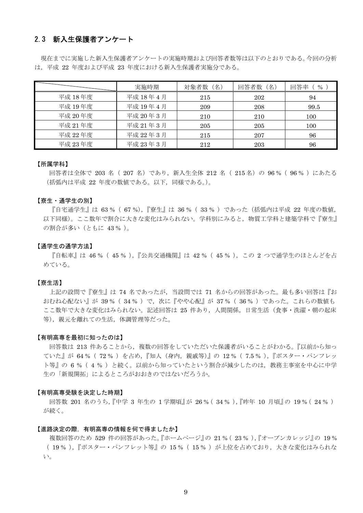# 2.3 新入生保護者アンケート

現在までに実施した新入生保護者アンケートの実施時期および回答者数等は以下のとおりである。今回の分析 は、平成 22 年度および平成 23 年度における新入生保護者実施分である。

|         | 実施時期     | 対象者数 (名) | 回答者数 (名) | $\%$<br>回答率 |
|---------|----------|----------|----------|-------------|
| 平成 18年度 | 平成 18年4月 | 215      | 202      | 94          |
| 平成 19年度 | 平成 19年4月 | 209      | 208      | 99.5        |
| 平成 20年度 | 平成 20年3月 | 210      | 210      | 100         |
| 平成 21年度 | 平成 21年3月 | 205      | 205      | 100         |
| 平成 22年度 | 平成 22年3月 | 215      | 207      | 96          |
| 平成 23年度 | 平成 23年3月 | 212      | 203      | 96          |

#### 【所属学科】

回答者は全体で 203 名 (207 名) であり、新入生全体 212 名 (215 名) の 96 % (96 %) にあたる (括弧内は平成 22 年度の数値である。以下,同様である。)。

#### 【寮生・通学生の別】

『自宅通学生』は 63 % (67 %),『寮生』は 36 % (33 %) であった (括弧内は平成 22 年度の数値, 以下同様)。ここ数年で割合に大きな変化はみられない。学科別にみると、物質工学科と建築学科で『寮生』 の割合が多い (ともに 43%)。

#### 【通学生の通学方法】

『自転車』は 46 % (45 %),『公共交通機関』は 42 % (45 %), この 2 つで通学生のほとんどを占 めている。

# 【寮生活】

上記の設問で『寮生』は 74 名であったが、当設問では 71 名からの回答があった。最も多い回答は『お おむね心配ない』が 39% (34%) で、次に『やや心配』が 37% (36%) であった。これらの数値も ここ数年で大きな変化はみられない。記述回答は 25 件あり、人間関係、日常生活(食事・洗濯・朝の起床 等),親元を離れての生活,体調管理等だった。

#### 【有明高専を最初に知ったのは】

回答数は 213 件あることから、複数の回答をしていただいた保護者がいることがわかる。『以前から知っ ていた』が 64% (72%) を占め,『知人 (身内, 親戚等)』の 12% (7.5%),『ポスター・パンフレッ ト等』の6%(4%)と続く。以前から知っていたという割合が減少したのは、教務主事室を中心に中学 生の「新規開拓」によるところがおおきのではないだろうか。

## 【有明高専受験を決定した時期】

回答数 201 名のうち,『中学 3 年生の 1 学期頃』が 26% ( 34%),『昨年 10 月頃』の 19% ( 24%) が続く。

#### 【進路決定の際、有明高専の情報を何で得ましたか】

複数回答のため 529 件の回答があった。『ホームページ』の 21% (23%),『オープンカレッジ』の 19% (19%),『ポスター・パンフレット等』の15% (15%)が上位を占めており、大きな変化はみられな  $V_{0}$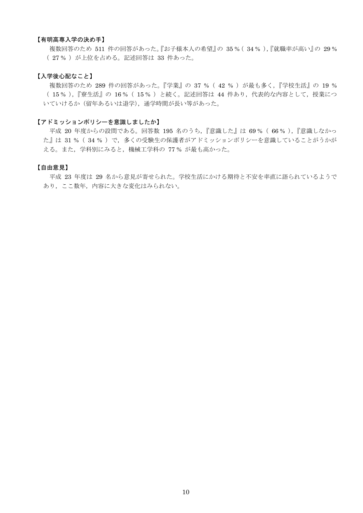# 【有明高専入学の決め手】

複数回答のため 511 件の回答があった。『お子様本人の希望』の 35% (34%),『就職率が高い』の 29% (27%) が上位を占める。記述回答は 33 件あった。

# 【入学後心配なこと】

複数回答のため 289 件の回答があった。『学業』の 37 % (42 %) が最も多く、『学校生活』の 19 % (15%),『寮生活』の16% (15%)と続く。記述回答は44件あり、代表的な内容として、授業につ いていけるか (留年あるいは退学), 通学時間が長い等があった。

# 【アドミッションポリシーを意識しましたか】

平成 20 年度からの設問である。回答数 195 名のうち、『意識した』は 69% (66%)、『意識しなかっ た』は 31% (34%) で、多くの受験生の保護者がアドミッションポリシーを意識していることがうかが える。また、学科別にみると、機械工学科の 77% が最も高かった。

# 【自由意見】

平成 23 年度は 29 名から意見が寄せられた。学校生活にかける期待と不安を率直に語られているようで あり、ここ数年、内容に大きな変化はみられない。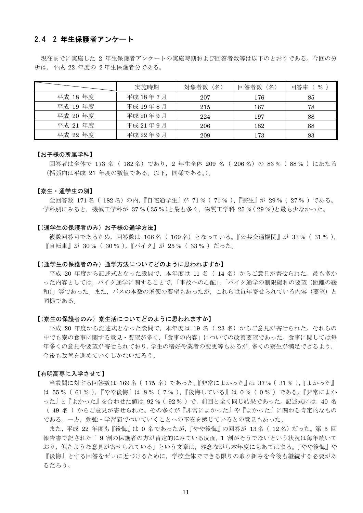# 2.4 2 年生保護者アンケート

現在までに実施した 2 年生保護者アンケートの実施時期および回答者数等は以下のとおりである。今回の分 析は、平成 22 年度の 2年生保護者分である。

|          | 実施時期     | 対象者数 (名) | 回答者数 (名) | $\%$<br>回答率 |
|----------|----------|----------|----------|-------------|
| 平成 18 年度 | 平成 18年7月 | 207      | 176      | 85          |
| 平成 19年度  | 平成 19年8月 | 215      | 167      | 78          |
| 平成 20 年度 | 平成 20年9月 | 224      | 197      | 88          |
| 平成 21 年度 | 平成 21年9月 | 206      | 182      | 88          |
| 平成 22 年度 | 平成 22年9月 | 209      | 173      | 83          |

#### 【お子様の所属学科】

回答者は全体で 173 名 (182名) であり、2 年生全体 209 名 (206名) の 83% (88%) にあたる (括弧内は平成 21 年度の数値である。以下、同様である。)。

## 【春生・诵学生の別】

全回答数 171名 (182名)の内,『自宅通学生』が 71% (71%),『寮生』が 29% (27%)である。 学科別にみると、機械工学科が 37% (35%)と最も多く、物質工学科 25% (29%)と最も少なかった。

## 【(通学生の保護者のみ)お子様の通学方法】

複数回答可であるため、回答数は 166名 (169名) となっている。『公共交通機関』が 33% (31%), 『自転車』が 30 % (30 %), 『バイク』が 25 % (33 %) だった。

# 【(通学生の保護者のみ)通学方法についてどのように思われますか】

平成 20 年度から記述式となった設問で、本年度は 11 名 (14名) からご意見が寄せられた。最も多か った内容としては、バイク通学に関することで、「事故への心配」、「バイク通学の制限緩和の要望(距離の緩 和)」等であった。また、バスの本数の増便の要望もあったが、これらは毎年寄せられている内容(要望)と 同様である。

## 【(寮生の保護者のみ)寮生活についてどのように思われますか】

平成 20 年度から記述式となった設問で、本年度は 19 名 (23名) からご意見が寄せられた。それらの 中でも寮の食事に関する意見・要望が多く、「食事の内容」についての改善要望であった。食事に関しては毎 年多くの意見や要望が寄せられており、学生の嗜好や業者の変更等もあるが、多くの寮生が満足できるよう、 今後も改善を進めていくしかないだろう。

#### 【有明高専に入学させて】

当設問に対する回答数は 169名 (175 名) であった。『非常によかった』は 37% (31%),『よかった』 は 55% (61%),『やや後悔』は 8% (7%),『後悔している』は 0% (0%) である。『非常によか った』と『よかった』を合わせた値は 92 %( 92 % )で,前回と全く同じ結果であった。記述式には,40 名 (49名)からご意見が寄せられた。その多くが『非常によかった』や『よかった』に関わる肯定的なもの である。一方、勉強・学習面でついていくことへの不安を感じているとの意見もあった。

また、平成 22 年度も『後悔』は 0 名であったが、『やや後悔』の回答が 13名 (12名) だった。第 5 回 報告書で記された「9割の保護者の方が肯定的にみている反面, 1割がそうでないという状況は毎年続いて おり、似たような意見が寄せられている」という文章は、残念ながら本年度にもあてはまる。『やや後悔』や 『後悔』とする回答をゼロに近づけるために、学校全体でできる限りの取り組みを今後も継続する必要があ るだろう。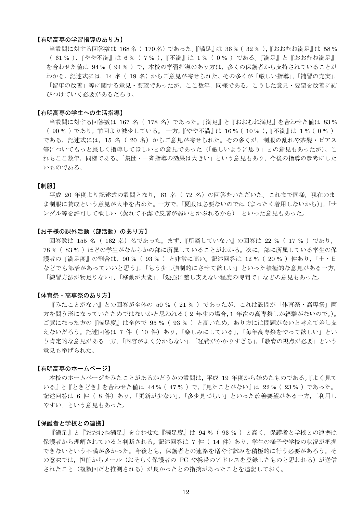## 【有明高専の学習指導のあり方】

当設問に対する回答数は 168名 (170名) であった。『満足』は 36% (32%), 『おおむね満足』は 58% (61%), 『やや不満』は 6% (7%), 『不満』は 1% (0%) である。『満足』と『おおむね満足』 を合わせた値は 94% (94%) で、本校の学習指導のあり方は、多くの保護者から支持されていることが わかる。記述式には、14 名 (19名)からご意見が寄せられた。その多くが「厳しい指導」、「補習の充実」, 「留年の改善」等に関する意見・要望であったが、ここ数年、同様である。こうした意見・要望を改善に結 びつけていく必要があるだろう。

## 【有明高専の学生への生活指導】

当設問に対する回答数は 167 名 ( 178 名) であった。『満足』と『おおむね満足』を合わせた値は 83% (90%)であり、前回より減少している。一方、『やや不満』は16% (10%)、『不満』は1% (0%) である。記述式には、15名 (20名)からご意見が寄せられた。その多くが、制服の乱れや茶髪・ピアス 等についてもっと厳しく指導してほしいとの意見であった(「厳しいように思う」との意見もあったが)。こ れもここ数年、同様である。「集団・一斉指導の効果は大きい」という意見もあり、今後の指導の参考にした いものである。

## 【制服】

平成 20年度より記述式の設問となり、61名 (72名)の回答をいただいた。これまで同様、現在のま ま制服に賛成という意見が大半を占めた。一方で、「夏服は必要ないのでは(まったく着用しないから)」、「サ ンダル等を許可して欲しい(蒸れて不潔で皮膚が弱いとかぶれるから)」といった意見もあった。

#### 【お子様の課外活動(部活動)のあり方】

回答数は 155 名 ( 162 名) 名であった。まず、『所属していない』の回答は 22 % ( 17 % ) であり, 78% (83%) ほどの学生がなんらかの部に所属していることがわかる。次に、部に所属している学生の保 護者の『満足度』の割合は、90% (93%) と非常に高い。記述回答は 12% (20%) 件あり、「土・日 などでも部活があっていいと思う」,「もう少し強制的にさせて欲しい」といった積極的な意見がある一方, 「練習方法が物足りない」、「移動が大変」、「勉強に差し支えない程度の時間で」などの意見もあった。

## 【体育祭・高専祭のあり方】

『みたことがない』との回答が全体の 50% (21%) であったが、これは設問が「体育祭・高専祭」両 方を問う形になっていたためではないかと思われる(2年生の場合,1年次の高専祭しか経験がないので。)。 ご覧になった方の『満足度』は全体で 95 % (93 %) と高いため、あり方には問題がないと考えて差し支 えないだろう。記述回答は 7 件 (10 件) あり,「楽しみにしている」,「毎年高専祭をやって欲しい」とい う肯定的な意見がある一方,「内容がよく分からない」,「経費がかかりすぎる」,「教育の視点が必要」という 意見も挙げられた。

#### 【有明高専のホームページ】

本校のホームページをみたことがあるかどうかの設問は、平成 19年度から始めたものである。『よく見て いる』と『ときどき』を合わせた値は 44% (47%) で、『見たことがない』は 22% (23%) であった。 記述回答は 6 件 (8 件) あり, 「更新が少ない」, 「多少見づらい」といった改善要望がある一方, 「利用し やすい」という意見もあった。

## 【保護者と学校との連携】

『満足』と『おおむね満足』を合わせた『満足度』は 94 % (93 %) と高く、保護者と学校との連携は 保護者から理解されていると判断される。記述回答は 7 件(14件)あり、学生の様子や学校の状況が把握 できないという不満が多かった。今後とも、保護者との連絡を増やす試みを積極的に行う必要があろう。そ の意味では、担任からメール (おそらく保護者の PC や携帯のアドレスを登録したものと思われる)が送信 されたこと(複数回だと推測される)が良かったとの指摘があったことを追記しておく。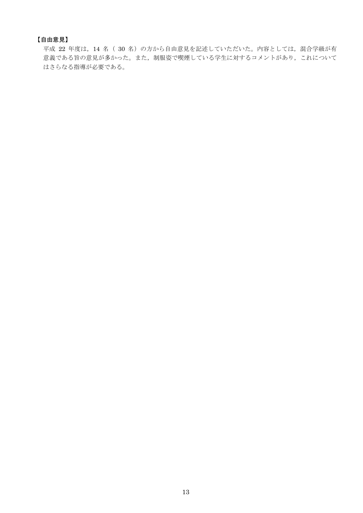# 【自由意見】

平成 22 年度は、14 名 (30名)の方から自由意見を記述していただいた。内容としては、混合学級が有 意義である旨の意見が多かった。また、制服姿で喫煙している学生に対するコメントがあり、これについて はさらなる指導が必要である。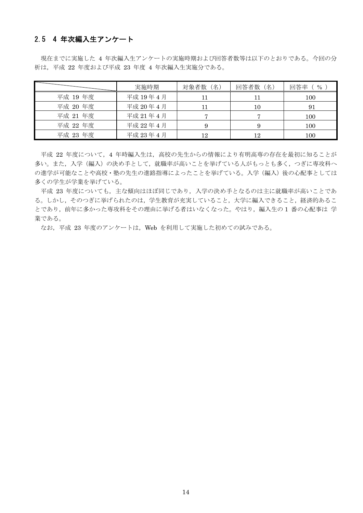# 2.5 4 年次編入生アンケート

現在までに実施した 4年次編入生アンケートの実施時期および回答者数等は以下のとおりである。今回の分 析は、平成 22 年度および平成 23 年度 4 年次編入生実施分である。

|          | 実施時期      | 対象者数 (名) | 回答者数 (名) | $\%$<br>同答率 |
|----------|-----------|----------|----------|-------------|
| 平成 19年度  | 平成 19年4月  |          |          | 100         |
| 平成 20 年度 | 平成 20年4月  |          | 10       | 91          |
| 平成 21 年度 | 平成 21年 4月 |          |          | 100         |
| 平成 22 年度 | 平成 22年4月  |          |          | 100         |
| 平成 23 年度 | 平成 23年4月  | 12       | 12       | 100         |

平成 22 年度について、4 年時編入生は、高校の先生からの情報により有明高専の存在を最初に知ることが 多い。また、入学(編入)の決め手として、就職率が高いことを挙げている人がもっとも多く、つぎに専攻科へ の進学が可能なことや高校・塾の先生の進路指導によったことを挙げている。入学(編入)後の心配事としては 多くの学生が学業を挙げている。

平成 23 年度についても、主な傾向はほぼ同じであり、入学の決め手となるのは主に就職率が高いことであ る。しかし、そのつぎに挙げられたのは、学生教育が充実していること、大学に編入できること、経済的あるこ とであり、前年に多かった専攻科をその理由に挙げる者はいなくなった。やはり、編入生の1番の心配事は 学 業である。

なお、平成 23 年度のアンケートは、Web を利用して実施した初めての試みである。